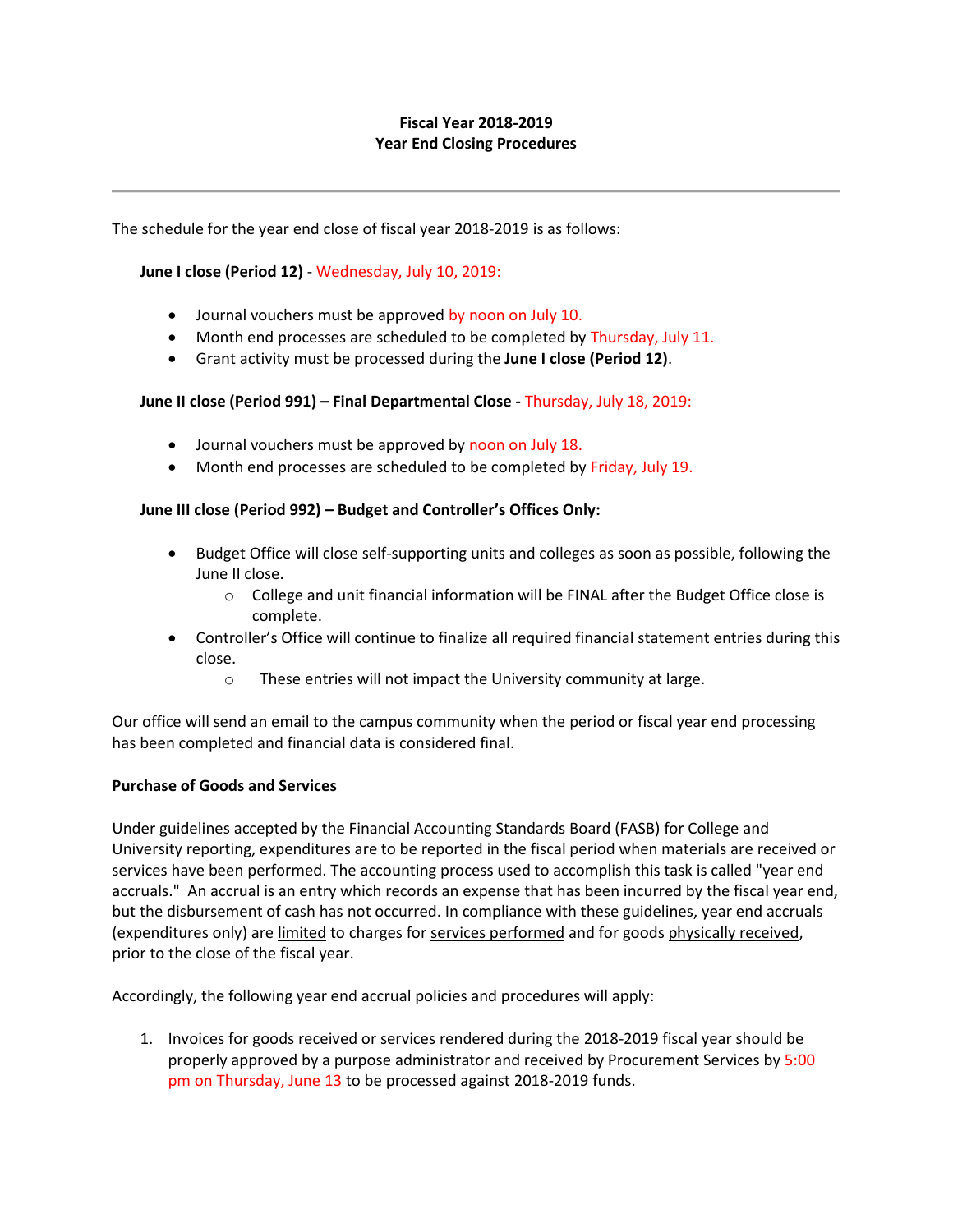# **Fiscal Year 2018-2019 Year End Closing Procedures**

The schedule for the year end close of fiscal year 2018-2019 is as follows:

## **June I close (Period 12)** - Wednesday, July 10, 2019:

- Journal vouchers must be approved by noon on July 10.
- Month end processes are scheduled to be completed by Thursday, July 11.
- Grant activity must be processed during the **June I close (Period 12)**.

### **June II close (Period 991) – Final Departmental Close -** Thursday, July 18, 2019:

- Journal vouchers must be approved by noon on July 18.
- Month end processes are scheduled to be completed by Friday, July 19.

### **June III close (Period 992) – Budget and Controller's Offices Only:**

- Budget Office will close self-supporting units and colleges as soon as possible, following the June II close.
	- $\circ$  College and unit financial information will be FINAL after the Budget Office close is complete.
- Controller's Office will continue to finalize all required financial statement entries during this close.
	- o These entries will not impact the University community at large.

Our office will send an email to the campus community when the period or fiscal year end processing has been completed and financial data is considered final.

#### **Purchase of Goods and Services**

Under guidelines accepted by the Financial Accounting Standards Board (FASB) for College and University reporting, expenditures are to be reported in the fiscal period when materials are received or services have been performed. The accounting process used to accomplish this task is called "year end accruals." An accrual is an entry which records an expense that has been incurred by the fiscal year end, but the disbursement of cash has not occurred. In compliance with these guidelines, year end accruals (expenditures only) are limited to charges for services performed and for goods physically received, prior to the close of the fiscal year.

Accordingly, the following year end accrual policies and procedures will apply:

1. Invoices for goods received or services rendered during the 2018-2019 fiscal year should be properly approved by a purpose administrator and received by Procurement Services by 5:00 pm on Thursday, June 13 to be processed against 2018-2019 funds.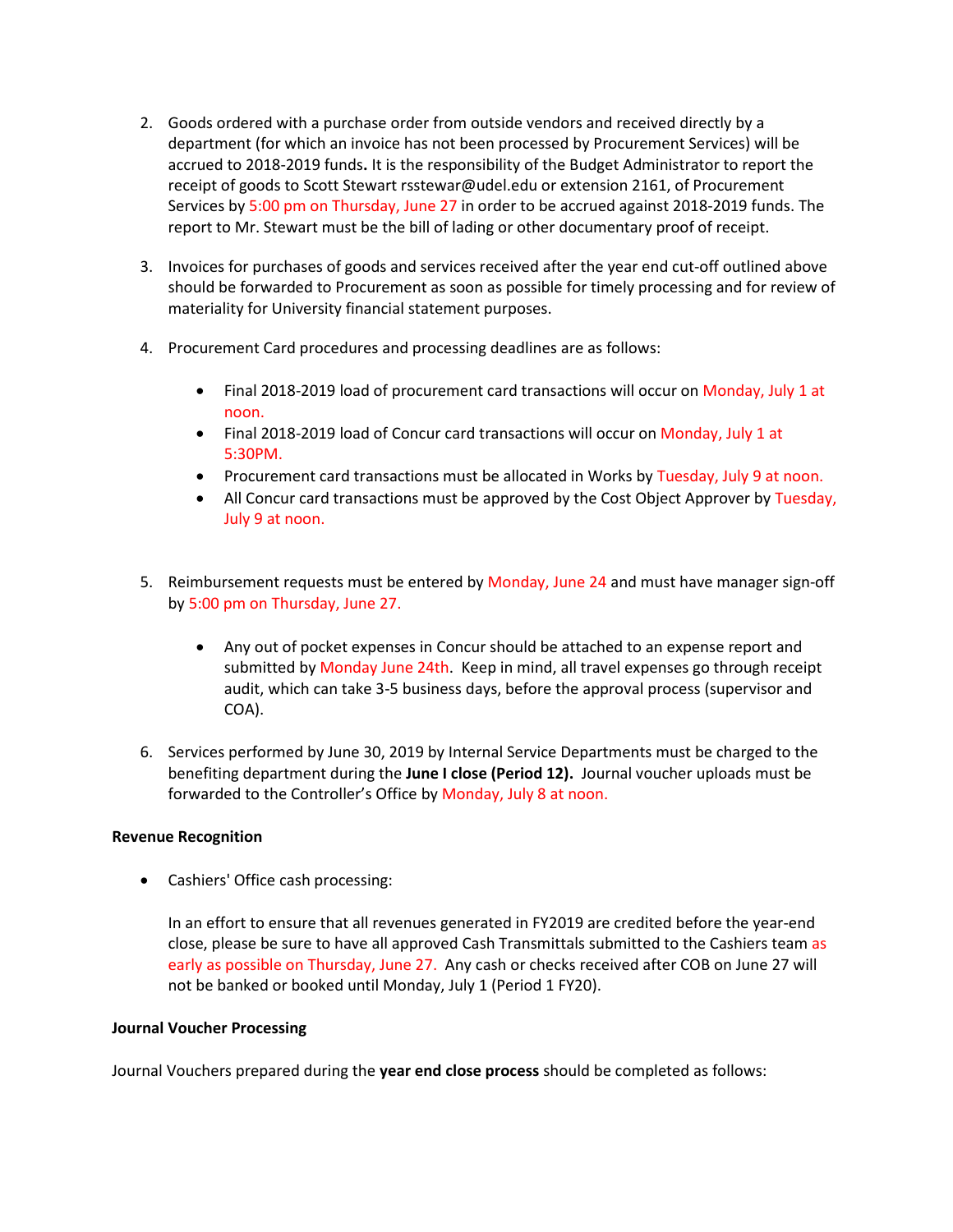- 2. Goods ordered with a purchase order from outside vendors and received directly by a department (for which an invoice has not been processed by Procurement Services) will be accrued to 2018-2019 funds**.** It is the responsibility of the Budget Administrator to report the receipt of goods to Scott Stewart rsstewar@udel.edu or extension 2161, of Procurement Services by 5:00 pm on Thursday, June 27 in order to be accrued against 2018-2019 funds. The report to Mr. Stewart must be the bill of lading or other documentary proof of receipt.
- 3. Invoices for purchases of goods and services received after the year end cut-off outlined above should be forwarded to Procurement as soon as possible for timely processing and for review of materiality for University financial statement purposes.
- 4. Procurement Card procedures and processing deadlines are as follows:
	- Final 2018-2019 load of procurement card transactions will occur on Monday, July 1 at noon.
	- Final 2018-2019 load of Concur card transactions will occur on Monday, July 1 at 5:30PM.
	- Procurement card transactions must be allocated in Works by Tuesday, July 9 at noon.
	- All Concur card transactions must be approved by the Cost Object Approver by Tuesday, July 9 at noon.
- 5. Reimbursement requests must be entered by Monday, June 24 and must have manager sign-off by 5:00 pm on Thursday, June 27.
	- Any out of pocket expenses in Concur should be attached to an expense report and submitted by Monday June 24th. Keep in mind, all travel expenses go through receipt audit, which can take 3-5 business days, before the approval process (supervisor and COA).
- 6. Services performed by June 30, 2019 by Internal Service Departments must be charged to the benefiting department during the **June I close (Period 12).** Journal voucher uploads must be forwarded to the Controller's Office by Monday, July 8 at noon.

## **Revenue Recognition**

• Cashiers' Office cash processing:

In an effort to ensure that all revenues generated in FY2019 are credited before the year-end close, please be sure to have all approved Cash Transmittals submitted to the Cashiers team as early as possible on Thursday, June 27. Any cash or checks received after COB on June 27 will not be banked or booked until Monday, July 1 (Period 1 FY20).

## **Journal Voucher Processing**

Journal Vouchers prepared during the **year end close process** should be completed as follows: